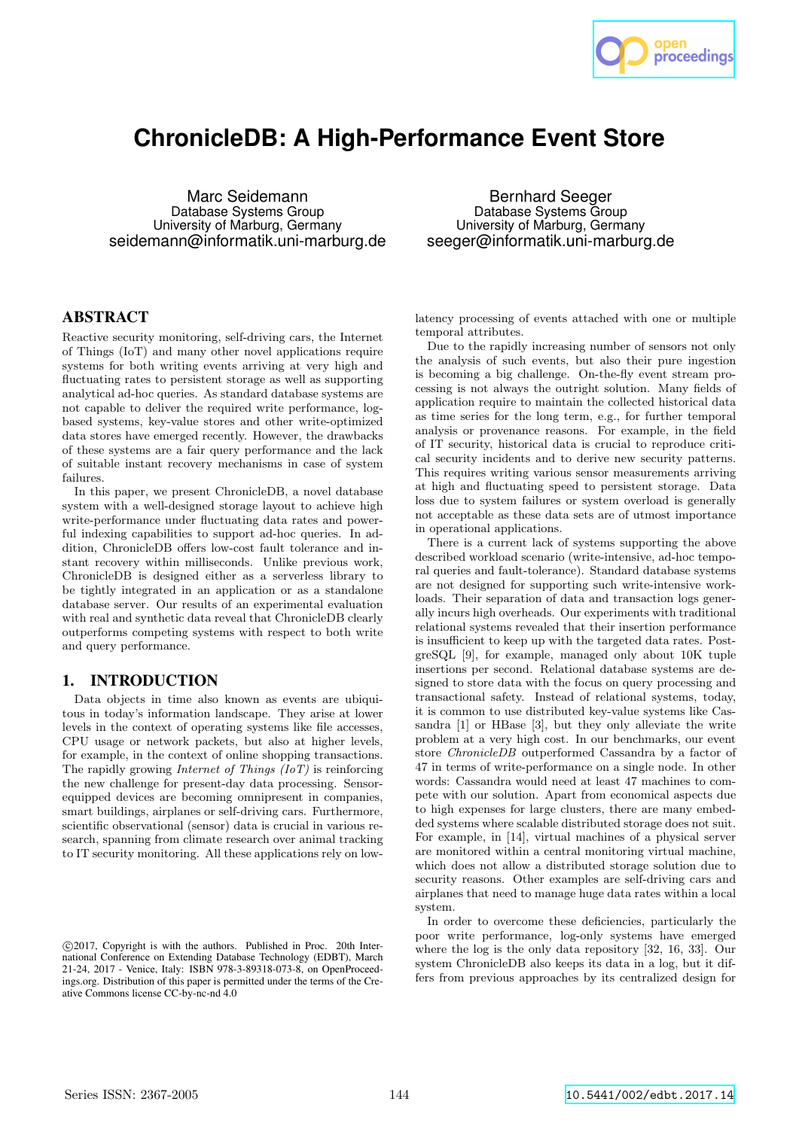

# **ChronicleDB: A High-Performance Event Store**

Marc Seidemann Database Systems Group University of Marburg, Germany seidemann@informatik.uni-marburg.de

ABSTRACT

Reactive security monitoring, self-driving cars, the Internet of Things (IoT) and many other novel applications require systems for both writing events arriving at very high and fluctuating rates to persistent storage as well as supporting analytical ad-hoc queries. As standard database systems are not capable to deliver the required write performance, logbased systems, key-value stores and other write-optimized data stores have emerged recently. However, the drawbacks of these systems are a fair query performance and the lack of suitable instant recovery mechanisms in case of system failures.

In this paper, we present ChronicleDB, a novel database system with a well-designed storage layout to achieve high write-performance under fluctuating data rates and powerful indexing capabilities to support ad-hoc queries. In addition, ChronicleDB offers low-cost fault tolerance and instant recovery within milliseconds. Unlike previous work, ChronicleDB is designed either as a serverless library to be tightly integrated in an application or as a standalone database server. Our results of an experimental evaluation with real and synthetic data reveal that ChronicleDB clearly outperforms competing systems with respect to both write and query performance.

## 1. INTRODUCTION

Data objects in time also known as events are ubiquitous in today's information landscape. They arise at lower levels in the context of operating systems like file accesses, CPU usage or network packets, but also at higher levels, for example, in the context of online shopping transactions. The rapidly growing *Internet of Things*  $(IoT)$  is reinforcing the new challenge for present-day data processing. Sensorequipped devices are becoming omnipresent in companies, smart buildings, airplanes or self-driving cars. Furthermore, scientific observational (sensor) data is crucial in various research, spanning from climate research over animal tracking to IT security monitoring. All these applications rely on low-

Bernhard Seeger Database Systems Group University of Marburg, Germany seeger@informatik.uni-marburg.de

latency processing of events attached with one or multiple temporal attributes.

Due to the rapidly increasing number of sensors not only the analysis of such events, but also their pure ingestion is becoming a big challenge. On-the-fly event stream processing is not always the outright solution. Many fields of application require to maintain the collected historical data as time series for the long term, e.g., for further temporal analysis or provenance reasons. For example, in the field of IT security, historical data is crucial to reproduce critical security incidents and to derive new security patterns. This requires writing various sensor measurements arriving at high and fluctuating speed to persistent storage. Data loss due to system failures or system overload is generally not acceptable as these data sets are of utmost importance in operational applications.

There is a current lack of systems supporting the above described workload scenario (write-intensive, ad-hoc temporal queries and fault-tolerance). Standard database systems are not designed for supporting such write-intensive workloads. Their separation of data and transaction logs generally incurs high overheads. Our experiments with traditional relational systems revealed that their insertion performance is insufficient to keep up with the targeted data rates. PostgreSQL [9], for example, managed only about 10K tuple insertions per second. Relational database systems are designed to store data with the focus on query processing and transactional safety. Instead of relational systems, today, it is common to use distributed key-value systems like Cassandra [1] or HBase [3], but they only alleviate the write problem at a very high cost. In our benchmarks, our event store ChronicleDB outperformed Cassandra by a factor of 47 in terms of write-performance on a single node. In other words: Cassandra would need at least 47 machines to compete with our solution. Apart from economical aspects due to high expenses for large clusters, there are many embedded systems where scalable distributed storage does not suit. For example, in [14], virtual machines of a physical server are monitored within a central monitoring virtual machine, which does not allow a distributed storage solution due to security reasons. Other examples are self-driving cars and airplanes that need to manage huge data rates within a local system.

In order to overcome these deficiencies, particularly the poor write performance, log-only systems have emerged where the log is the only data repository [32, 16, 33]. Our system ChronicleDB also keeps its data in a log, but it differs from previous approaches by its centralized design for

c 2017, Copyright is with the authors. Published in Proc. 20th International Conference on Extending Database Technology (EDBT), March 21-24, 2017 - Venice, Italy: ISBN 978-3-89318-073-8, on OpenProceedings.org. Distribution of this paper is permitted under the terms of the Creative Commons license CC-by-nc-nd 4.0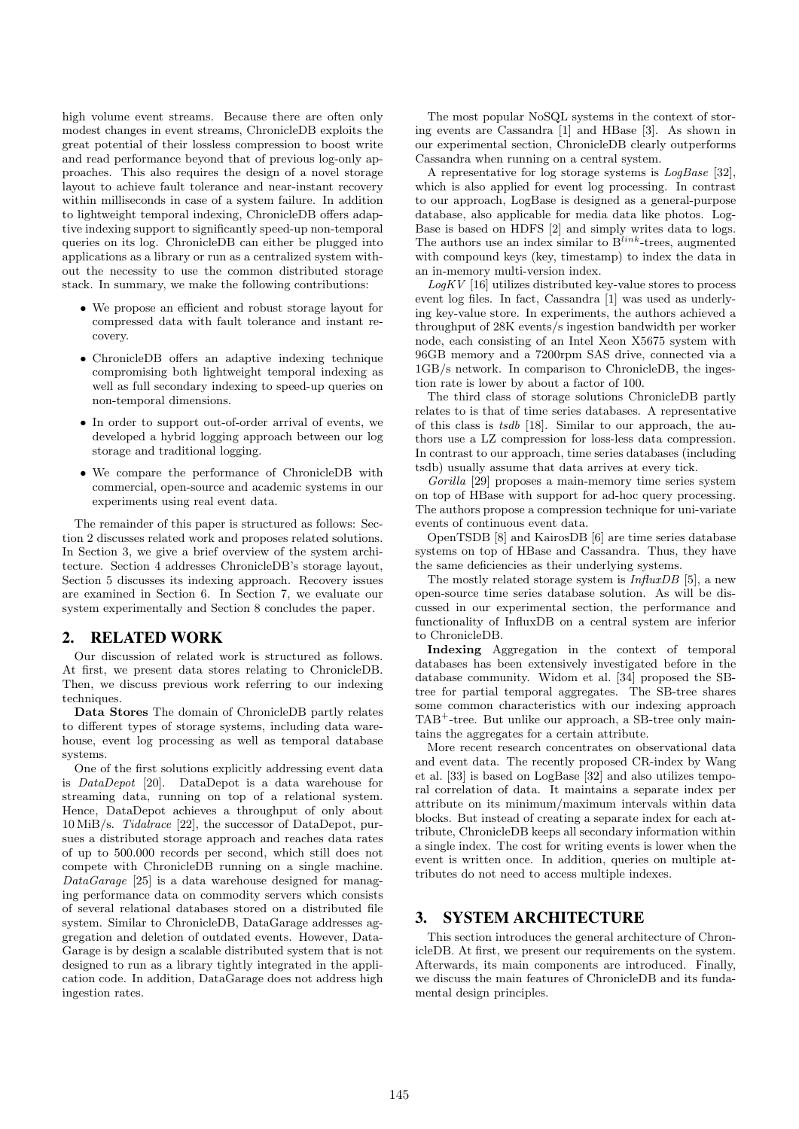high volume event streams. Because there are often only modest changes in event streams, ChronicleDB exploits the great potential of their lossless compression to boost write and read performance beyond that of previous log-only approaches. This also requires the design of a novel storage layout to achieve fault tolerance and near-instant recovery within milliseconds in case of a system failure. In addition to lightweight temporal indexing, ChronicleDB offers adaptive indexing support to significantly speed-up non-temporal queries on its log. ChronicleDB can either be plugged into applications as a library or run as a centralized system without the necessity to use the common distributed storage stack. In summary, we make the following contributions:

- We propose an efficient and robust storage layout for compressed data with fault tolerance and instant recovery.
- ChronicleDB offers an adaptive indexing technique compromising both lightweight temporal indexing as well as full secondary indexing to speed-up queries on non-temporal dimensions.
- In order to support out-of-order arrival of events, we developed a hybrid logging approach between our log storage and traditional logging.
- We compare the performance of ChronicleDB with commercial, open-source and academic systems in our experiments using real event data.

The remainder of this paper is structured as follows: Section 2 discusses related work and proposes related solutions. In Section 3, we give a brief overview of the system architecture. Section 4 addresses ChronicleDB's storage layout, Section 5 discusses its indexing approach. Recovery issues are examined in Section 6. In Section 7, we evaluate our system experimentally and Section 8 concludes the paper.

## 2. RELATED WORK

Our discussion of related work is structured as follows. At first, we present data stores relating to ChronicleDB. Then, we discuss previous work referring to our indexing techniques.

Data Stores The domain of ChronicleDB partly relates to different types of storage systems, including data warehouse, event log processing as well as temporal database systems.

One of the first solutions explicitly addressing event data is DataDepot [20]. DataDepot is a data warehouse for streaming data, running on top of a relational system. Hence, DataDepot achieves a throughput of only about 10 MiB/s. Tidalrace [22], the successor of DataDepot, pursues a distributed storage approach and reaches data rates of up to 500.000 records per second, which still does not compete with ChronicleDB running on a single machine.  $DataGaraqe$  [25] is a data warehouse designed for managing performance data on commodity servers which consists of several relational databases stored on a distributed file system. Similar to ChronicleDB, DataGarage addresses aggregation and deletion of outdated events. However, Data-Garage is by design a scalable distributed system that is not designed to run as a library tightly integrated in the application code. In addition, DataGarage does not address high ingestion rates.

The most popular NoSQL systems in the context of storing events are Cassandra [1] and HBase [3]. As shown in our experimental section, ChronicleDB clearly outperforms Cassandra when running on a central system.

A representative for log storage systems is LogBase [32], which is also applied for event log processing. In contrast to our approach, LogBase is designed as a general-purpose database, also applicable for media data like photos. Log-Base is based on HDFS [2] and simply writes data to logs. The authors use an index similar to  $B^{link}$ -trees, augmented with compound keys (key, timestamp) to index the data in an in-memory multi-version index.

 $LogKV$  [16] utilizes distributed key-value stores to process event log files. In fact, Cassandra [1] was used as underlying key-value store. In experiments, the authors achieved a throughput of 28K events/s ingestion bandwidth per worker node, each consisting of an Intel Xeon X5675 system with 96GB memory and a 7200rpm SAS drive, connected via a 1GB/s network. In comparison to ChronicleDB, the ingestion rate is lower by about a factor of 100.

The third class of storage solutions ChronicleDB partly relates to is that of time series databases. A representative of this class is tsdb [18]. Similar to our approach, the authors use a LZ compression for loss-less data compression. In contrast to our approach, time series databases (including tsdb) usually assume that data arrives at every tick.

Gorilla [29] proposes a main-memory time series system on top of HBase with support for ad-hoc query processing. The authors propose a compression technique for uni-variate events of continuous event data.

OpenTSDB [8] and KairosDB [6] are time series database systems on top of HBase and Cassandra. Thus, they have the same deficiencies as their underlying systems.

The mostly related storage system is  $InfluxDB$  [5], a new open-source time series database solution. As will be discussed in our experimental section, the performance and functionality of InfluxDB on a central system are inferior to ChronicleDB.

Indexing Aggregation in the context of temporal databases has been extensively investigated before in the database community. Widom et al. [34] proposed the SBtree for partial temporal aggregates. The SB-tree shares some common characteristics with our indexing approach TAB<sup>+</sup>-tree. But unlike our approach, a SB-tree only maintains the aggregates for a certain attribute.

More recent research concentrates on observational data and event data. The recently proposed CR-index by Wang et al. [33] is based on LogBase [32] and also utilizes temporal correlation of data. It maintains a separate index per attribute on its minimum/maximum intervals within data blocks. But instead of creating a separate index for each attribute, ChronicleDB keeps all secondary information within a single index. The cost for writing events is lower when the event is written once. In addition, queries on multiple attributes do not need to access multiple indexes.

# 3. SYSTEM ARCHITECTURE

This section introduces the general architecture of ChronicleDB. At first, we present our requirements on the system. Afterwards, its main components are introduced. Finally, we discuss the main features of ChronicleDB and its fundamental design principles.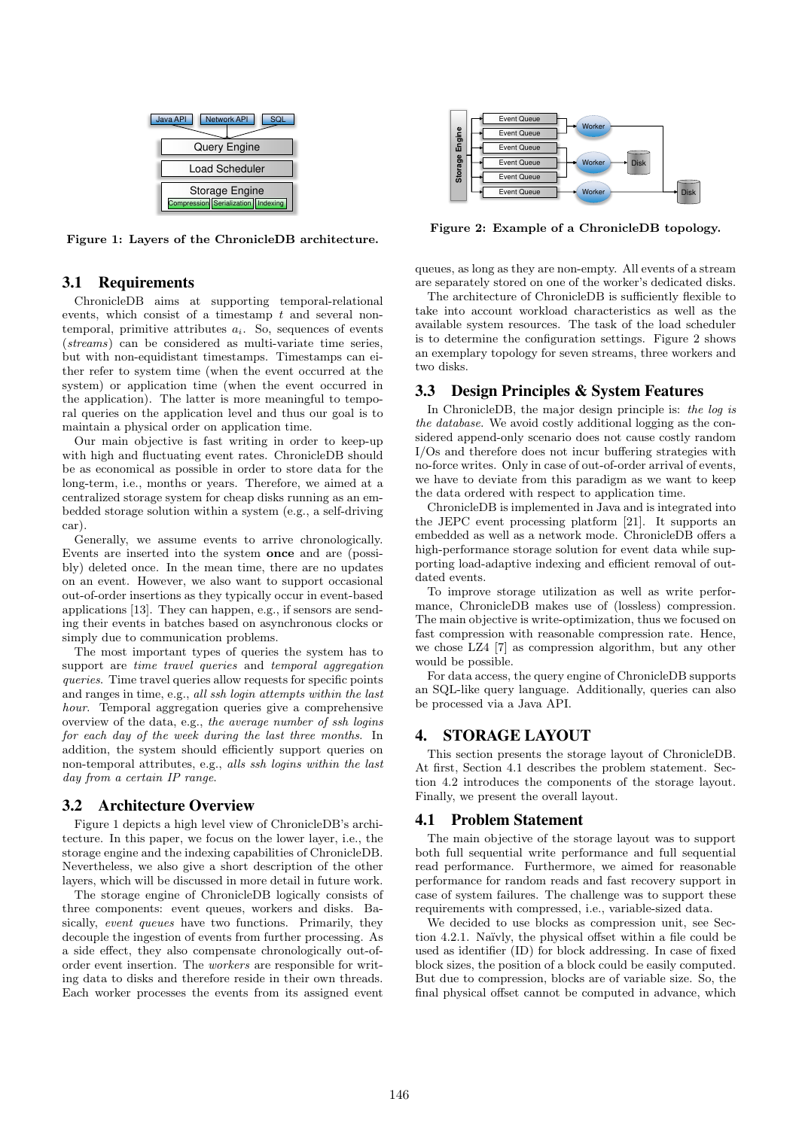

Figure 1: Layers of the ChronicleDB architecture.

## 3.1 Requirements

ChronicleDB aims at supporting temporal-relational events, which consist of a timestamp  $t$  and several nontemporal, primitive attributes  $a_i$ . So, sequences of events (streams) can be considered as multi-variate time series, but with non-equidistant timestamps. Timestamps can either refer to system time (when the event occurred at the system) or application time (when the event occurred in the application). The latter is more meaningful to temporal queries on the application level and thus our goal is to maintain a physical order on application time. **Each of the event of the event in the event in the event in the event in the event in the event in the event in the event in the event in the event in the event in the event in the event in the event in the event in the** 

Our main objective is fast writing in order to keep-up with high and fluctuating event rates. ChronicleDB should be as economical as possible in order to store data for the long-term, i.e., months or years. Therefore, we aimed at a centralized storage system for cheap disks running as an embedded storage solution within a system (e.g., a self-driving car).

Generally, we assume events to arrive chronologically. Events are inserted into the system once and are (possibly) deleted once. In the mean time, there are no updates on an event. However, we also want to support occasional out-of-order insertions as they typically occur in event-based applications [13]. They can happen, e.g., if sensors are sending their events in batches based on asynchronous clocks or simply due to communication problems.

The most important types of queries the system has to support are *time travel queries* and *temporal aggregation* queries. Time travel queries allow requests for specific points and ranges in time, e.g., all ssh login attempts within the last hour. Temporal aggregation queries give a comprehensive overview of the data, e.g., the average number of ssh logins for each day of the week during the last three months. In addition, the system should efficiently support queries on non-temporal attributes, e.g., alls ssh logins within the last day from a certain IP range.

## 3.2 Architecture Overview

Figure 1 depicts a high level view of ChronicleDB's architecture. In this paper, we focus on the lower layer, i.e., the storage engine and the indexing capabilities of ChronicleDB. Nevertheless, we also give a short description of the other layers, which will be discussed in more detail in future work.

The storage engine of ChronicleDB logically consists of three components: event queues, workers and disks. Basically, *event queues* have two functions. Primarily, they decouple the ingestion of events from further processing. As a side effect, they also compensate chronologically out-oforder event insertion. The workers are responsible for writing data to disks and therefore reside in their own threads.



Figure 2: Example of a ChronicleDB topology.

queues, as long as they are non-empty. All events of a stream are separately stored on one of the worker's dedicated disks.

The architecture of ChronicleDB is sufficiently flexible to take into account workload characteristics as well as the available system resources. The task of the load scheduler is to determine the configuration settings. Figure 2 shows an exemplary topology for seven streams, three workers and two disks.

# 3.3 Design Principles & System Features

In ChronicleDB, the major design principle is: the log is the database. We avoid costly additional logging as the considered append-only scenario does not cause costly random I/Os and therefore does not incur buffering strategies with no-force writes. Only in case of out-of-order arrival of events, we have to deviate from this paradigm as we want to keep the data ordered with respect to application time.

ChronicleDB is implemented in Java and is integrated into the JEPC event processing platform [21]. It supports an embedded as well as a network mode. ChronicleDB offers a high-performance storage solution for event data while supporting load-adaptive indexing and efficient removal of outdated events.

To improve storage utilization as well as write performance, ChronicleDB makes use of (lossless) compression. The main objective is write-optimization, thus we focused on fast compression with reasonable compression rate. Hence, we chose LZ4 [7] as compression algorithm, but any other would be possible.

For data access, the query engine of ChronicleDB supports an SQL-like query language. Additionally, queries can also be processed via a Java API.

# 4. STORAGE LAYOUT

This section presents the storage layout of ChronicleDB. At first, Section 4.1 describes the problem statement. Section 4.2 introduces the components of the storage layout. Finally, we present the overall layout.

## 4.1 Problem Statement

The main objective of the storage layout was to support both full sequential write performance and full sequential read performance. Furthermore, we aimed for reasonable performance for random reads and fast recovery support in case of system failures. The challenge was to support these requirements with compressed, i.e., variable-sized data.

We decided to use blocks as compression unit, see Section 4.2.1. Na¨ıvly, the physical offset within a file could be used as identifier (ID) for block addressing. In case of fixed block sizes, the position of a block could be easily computed. But due to compression, blocks are of variable size. So, the final physical offset cannot be computed in advance, which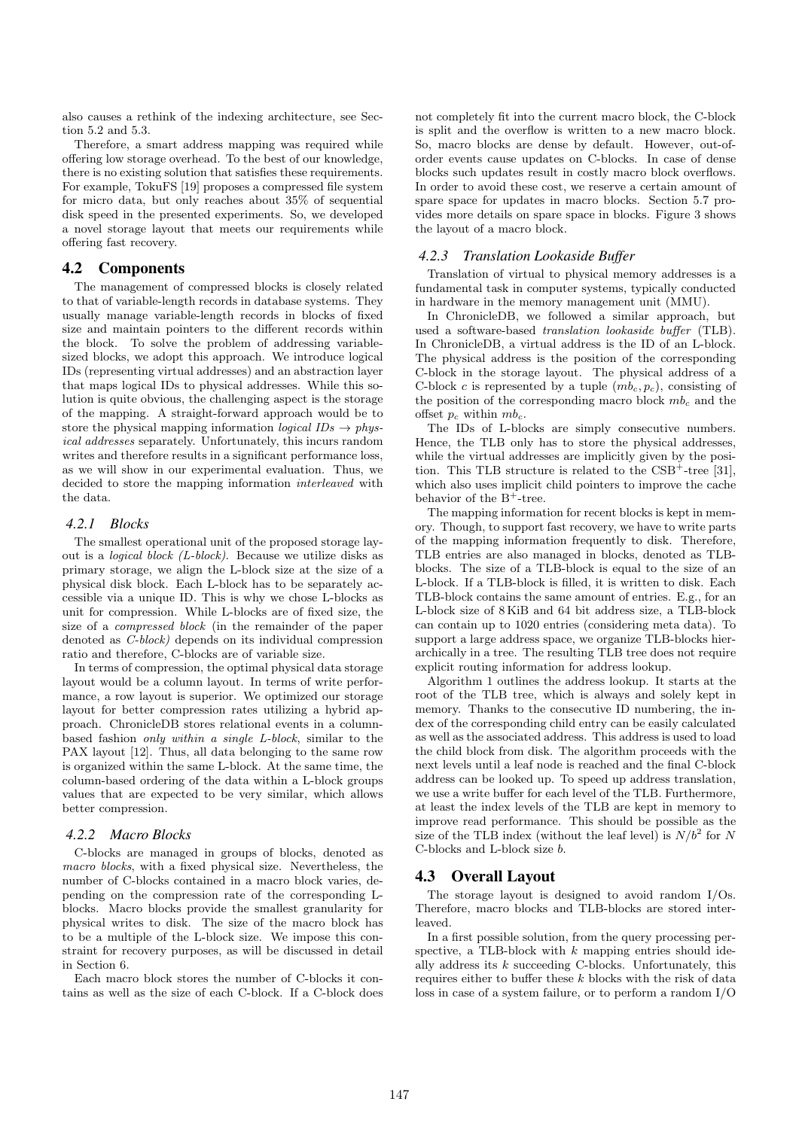also causes a rethink of the indexing architecture, see Section 5.2 and 5.3.

Therefore, a smart address mapping was required while offering low storage overhead. To the best of our knowledge, there is no existing solution that satisfies these requirements. For example, TokuFS [19] proposes a compressed file system for micro data, but only reaches about 35% of sequential disk speed in the presented experiments. So, we developed a novel storage layout that meets our requirements while offering fast recovery.

#### 4.2 Components

The management of compressed blocks is closely related to that of variable-length records in database systems. They usually manage variable-length records in blocks of fixed size and maintain pointers to the different records within the block. To solve the problem of addressing variablesized blocks, we adopt this approach. We introduce logical IDs (representing virtual addresses) and an abstraction layer that maps logical IDs to physical addresses. While this solution is quite obvious, the challenging aspect is the storage of the mapping. A straight-forward approach would be to store the physical mapping information *logical*  $IDs \rightarrow phys$ ical addresses separately. Unfortunately, this incurs random writes and therefore results in a significant performance loss, as we will show in our experimental evaluation. Thus, we decided to store the mapping information interleaved with the data.

#### *4.2.1 Blocks*

The smallest operational unit of the proposed storage layout is a logical block (L-block). Because we utilize disks as primary storage, we align the L-block size at the size of a physical disk block. Each L-block has to be separately accessible via a unique ID. This is why we chose L-blocks as unit for compression. While L-blocks are of fixed size, the size of a compressed block (in the remainder of the paper denoted as C-block) depends on its individual compression ratio and therefore, C-blocks are of variable size.

In terms of compression, the optimal physical data storage layout would be a column layout. In terms of write performance, a row layout is superior. We optimized our storage layout for better compression rates utilizing a hybrid approach. ChronicleDB stores relational events in a columnbased fashion only within a single L-block, similar to the PAX layout [12]. Thus, all data belonging to the same row is organized within the same L-block. At the same time, the column-based ordering of the data within a L-block groups values that are expected to be very similar, which allows better compression.

#### *4.2.2 Macro Blocks*

C-blocks are managed in groups of blocks, denoted as macro blocks, with a fixed physical size. Nevertheless, the number of C-blocks contained in a macro block varies, depending on the compression rate of the corresponding Lblocks. Macro blocks provide the smallest granularity for physical writes to disk. The size of the macro block has to be a multiple of the L-block size. We impose this constraint for recovery purposes, as will be discussed in detail in Section 6.

Each macro block stores the number of C-blocks it contains as well as the size of each C-block. If a C-block does

not completely fit into the current macro block, the C-block is split and the overflow is written to a new macro block. So, macro blocks are dense by default. However, out-oforder events cause updates on C-blocks. In case of dense blocks such updates result in costly macro block overflows. In order to avoid these cost, we reserve a certain amount of spare space for updates in macro blocks. Section 5.7 provides more details on spare space in blocks. Figure 3 shows the layout of a macro block.

#### *4.2.3 Translation Lookaside Buffer*

Translation of virtual to physical memory addresses is a fundamental task in computer systems, typically conducted in hardware in the memory management unit (MMU).

In ChronicleDB, we followed a similar approach, but used a software-based translation lookaside buffer (TLB). In ChronicleDB, a virtual address is the ID of an L-block. The physical address is the position of the corresponding C-block in the storage layout. The physical address of a C-block c is represented by a tuple  $(m b_c, p_c)$ , consisting of the position of the corresponding macro block  $mb_c$  and the offset  $p_c$  within  $mb_c$ .

The IDs of L-blocks are simply consecutive numbers. Hence, the TLB only has to store the physical addresses, while the virtual addresses are implicitly given by the position. This TLB structure is related to the  $CSB^+$ -tree [31], which also uses implicit child pointers to improve the cache behavior of the  $B^+$ -tree.

The mapping information for recent blocks is kept in memory. Though, to support fast recovery, we have to write parts of the mapping information frequently to disk. Therefore, TLB entries are also managed in blocks, denoted as TLBblocks. The size of a TLB-block is equal to the size of an L-block. If a TLB-block is filled, it is written to disk. Each TLB-block contains the same amount of entries. E.g., for an L-block size of 8 KiB and 64 bit address size, a TLB-block can contain up to 1020 entries (considering meta data). To support a large address space, we organize TLB-blocks hierarchically in a tree. The resulting TLB tree does not require explicit routing information for address lookup.

Algorithm 1 outlines the address lookup. It starts at the root of the TLB tree, which is always and solely kept in memory. Thanks to the consecutive ID numbering, the index of the corresponding child entry can be easily calculated as well as the associated address. This address is used to load the child block from disk. The algorithm proceeds with the next levels until a leaf node is reached and the final C-block address can be looked up. To speed up address translation, we use a write buffer for each level of the TLB. Furthermore, at least the index levels of the TLB are kept in memory to improve read performance. This should be possible as the size of the TLB index (without the leaf level) is  $N/b^2$  for N C-blocks and L-block size b.

## 4.3 Overall Layout

The storage layout is designed to avoid random I/Os. Therefore, macro blocks and TLB-blocks are stored interleaved.

In a first possible solution, from the query processing perspective, a TLB-block with  $k$  mapping entries should ideally address its  $k$  succeeding C-blocks. Unfortunately, this requires either to buffer these  $k$  blocks with the risk of data loss in case of a system failure, or to perform a random I/O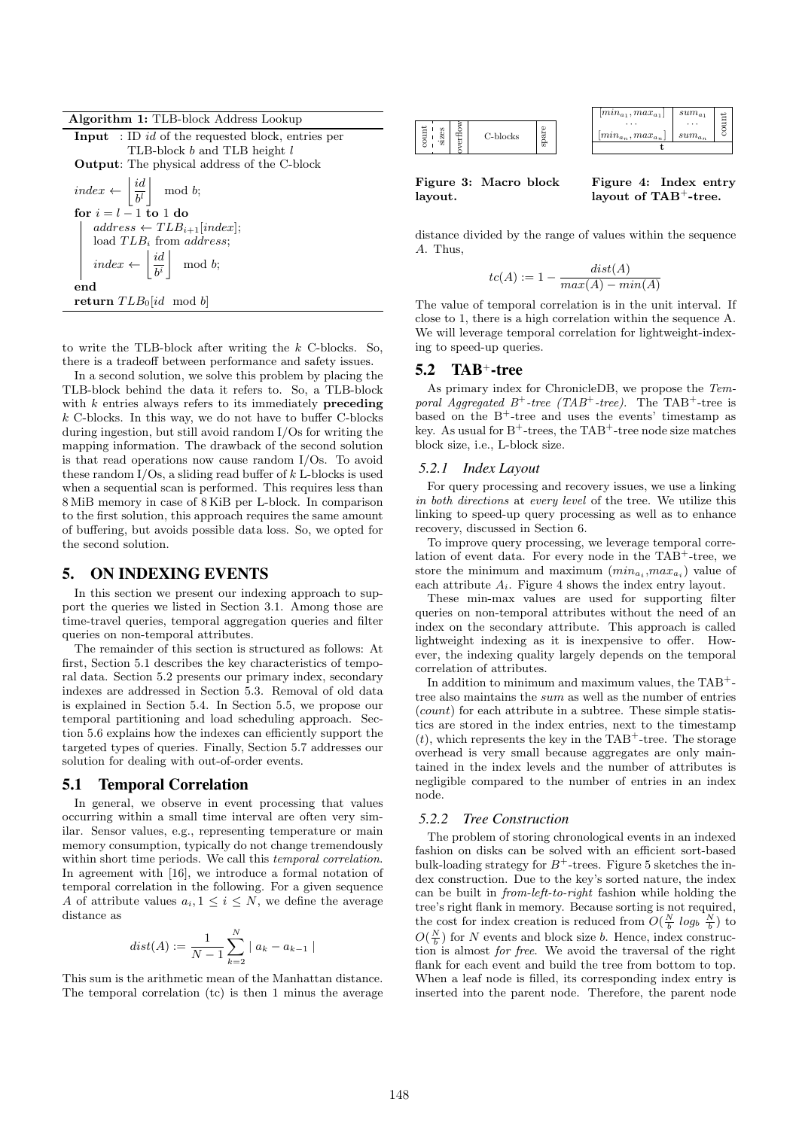| <b>Algorithm 1:</b> TLB-block Address Lookup |  |  |  |
|----------------------------------------------|--|--|--|
|----------------------------------------------|--|--|--|

| <b>Input</b> : ID id of the requested block, entries per                                                                                                    |  |  |  |
|-------------------------------------------------------------------------------------------------------------------------------------------------------------|--|--|--|
| TLB-block b and TLB height l                                                                                                                                |  |  |  |
| <b>Output:</b> The physical address of the C-block                                                                                                          |  |  |  |
| $index \leftarrow \left  \frac{id}{b^l} \right  \mod b;$                                                                                                    |  |  |  |
| for $i = l - 1$ to 1 do                                                                                                                                     |  |  |  |
| $address \leftarrow TLB_{i+1}[index];$                                                                                                                      |  |  |  |
| load $TLB_i$ from <i>address</i> ;                                                                                                                          |  |  |  |
| $\left[\begin{array}{c} \overline{\phantom{aa}} \\ \overline{\phantom{aa}} \\ \overline{\phantom{aa}} \end{array} \right] \overline{\phantom{aa}} \bmod b;$ |  |  |  |
| end                                                                                                                                                         |  |  |  |
| return $TLB0$ and b                                                                                                                                         |  |  |  |

to write the TLB-block after writing the k C-blocks. So, there is a tradeoff between performance and safety issues.

In a second solution, we solve this problem by placing the TLB-block behind the data it refers to. So, a TLB-block with  $k$  entries always refers to its immediately **preceding**  $k$  C-blocks. In this way, we do not have to buffer C-blocks during ingestion, but still avoid random I/Os for writing the mapping information. The drawback of the second solution is that read operations now cause random I/Os. To avoid these random  $I/Os$ , a sliding read buffer of  $k$  L-blocks is used when a sequential scan is performed. This requires less than 8 MiB memory in case of 8 KiB per L-block. In comparison to the first solution, this approach requires the same amount of buffering, but avoids possible data loss. So, we opted for the second solution.

#### 5. ON INDEXING EVENTS

In this section we present our indexing approach to support the queries we listed in Section 3.1. Among those are time-travel queries, temporal aggregation queries and filter queries on non-temporal attributes.

The remainder of this section is structured as follows: At first, Section 5.1 describes the key characteristics of temporal data. Section 5.2 presents our primary index, secondary indexes are addressed in Section 5.3. Removal of old data is explained in Section 5.4. In Section 5.5, we propose our temporal partitioning and load scheduling approach. Section 5.6 explains how the indexes can efficiently support the targeted types of queries. Finally, Section 5.7 addresses our solution for dealing with out-of-order events.

#### 5.1 Temporal Correlation

In general, we observe in event processing that values occurring within a small time interval are often very similar. Sensor values, e.g., representing temperature or main memory consumption, typically do not change tremendously within short time periods. We call this temporal correlation. In agreement with [16], we introduce a formal notation of temporal correlation in the following. For a given sequence A of attribute values  $a_i, 1 \leq i \leq N$ , we define the average distance as

$$
dist(A) := \frac{1}{N-1} \sum_{k=2}^{N} |a_k - a_{k-1}|
$$

This sum is the arithmetic mean of the Manhattan distance. The temporal correlation (tc) is then 1 minus the average

|  | C-blocks |  |
|--|----------|--|



Figure 3: Macro block layout.

Figure 4: Index entry layout of TAB<sup>+</sup>-tree.

distance divided by the range of values within the sequence A. Thus,

$$
tc(A) := 1 - \frac{dist(A)}{max(A) - min(A)}
$$

The value of temporal correlation is in the unit interval. If close to 1, there is a high correlation within the sequence A. We will leverage temporal correlation for lightweight-indexing to speed-up queries.

#### 5.2 TAB+-tree

As primary index for ChronicleDB, we propose the Temporal Aggregated  $B^+$ -tree (TAB<sup>+</sup>-tree). The TAB<sup>+</sup>-tree is based on the  $B^+$ -tree and uses the events' timestamp as key. As usual for  $B^+$ -trees, the TAB<sup>+</sup>-tree node size matches block size, i.e., L-block size.

#### *5.2.1 Index Layout*

For query processing and recovery issues, we use a linking in both directions at every level of the tree. We utilize this linking to speed-up query processing as well as to enhance recovery, discussed in Section 6.

To improve query processing, we leverage temporal correlation of event data. For every node in the  $TAB^+$ -tree, we store the minimum and maximum  $(min_{a_i},max_{a_i})$  value of each attribute  $A_i$ . Figure 4 shows the index entry layout.

These min-max values are used for supporting filter queries on non-temporal attributes without the need of an index on the secondary attribute. This approach is called lightweight indexing as it is inexpensive to offer. However, the indexing quality largely depends on the temporal correlation of attributes.

In addition to minimum and maximum values, the TAB<sup>+</sup> tree also maintains the sum as well as the number of entries (count) for each attribute in a subtree. These simple statistics are stored in the index entries, next to the timestamp  $(t)$ , which represents the key in the TAB<sup>+</sup>-tree. The storage overhead is very small because aggregates are only maintained in the index levels and the number of attributes is negligible compared to the number of entries in an index node.

#### *5.2.2 Tree Construction*

The problem of storing chronological events in an indexed fashion on disks can be solved with an efficient sort-based bulk-loading strategy for  $B^+$ -trees. Figure 5 sketches the index construction. Due to the key's sorted nature, the index can be built in from-left-to-right fashion while holding the tree's right flank in memory. Because sorting is not required, the cost for index creation is reduced from  $O(\frac{N}{b}log_b \frac{N}{b})$  to  $O(\frac{N}{b})$  for N events and block size b. Hence, index construction is almost for free. We avoid the traversal of the right flank for each event and build the tree from bottom to top. When a leaf node is filled, its corresponding index entry is inserted into the parent node. Therefore, the parent node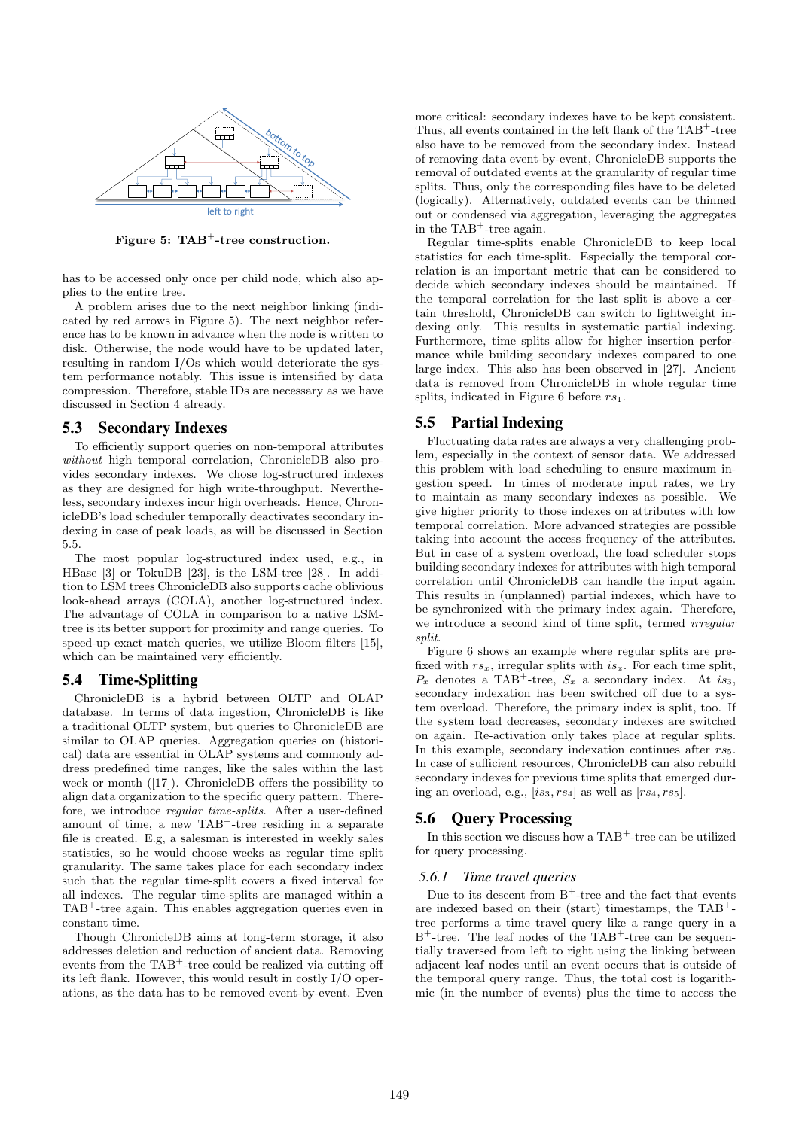

Figure 5: TAB<sup>+</sup>-tree construction.

has to be accessed only once per child node, which also applies to the entire tree.

A problem arises due to the next neighbor linking (indicated by red arrows in Figure 5). The next neighbor reference has to be known in advance when the node is written to disk. Otherwise, the node would have to be updated later, resulting in random I/Os which would deteriorate the system performance notably. This issue is intensified by data compression. Therefore, stable IDs are necessary as we have discussed in Section 4 already.

#### 5.3 Secondary Indexes

To efficiently support queries on non-temporal attributes without high temporal correlation, ChronicleDB also provides secondary indexes. We chose log-structured indexes as they are designed for high write-throughput. Nevertheless, secondary indexes incur high overheads. Hence, ChronicleDB's load scheduler temporally deactivates secondary indexing in case of peak loads, as will be discussed in Section 5.5.

The most popular log-structured index used, e.g., in HBase [3] or TokuDB [23], is the LSM-tree [28]. In addition to LSM trees ChronicleDB also supports cache oblivious look-ahead arrays (COLA), another log-structured index. The advantage of COLA in comparison to a native LSMtree is its better support for proximity and range queries. To speed-up exact-match queries, we utilize Bloom filters [15], which can be maintained very efficiently.

### 5.4 Time-Splitting

ChronicleDB is a hybrid between OLTP and OLAP database. In terms of data ingestion, ChronicleDB is like a traditional OLTP system, but queries to ChronicleDB are similar to OLAP queries. Aggregation queries on (historical) data are essential in OLAP systems and commonly address predefined time ranges, like the sales within the last week or month ([17]). ChronicleDB offers the possibility to align data organization to the specific query pattern. Therefore, we introduce regular time-splits. After a user-defined amount of time, a new  $TAB^+$ -tree residing in a separate file is created. E.g, a salesman is interested in weekly sales statistics, so he would choose weeks as regular time split granularity. The same takes place for each secondary index such that the regular time-split covers a fixed interval for all indexes. The regular time-splits are managed within a TAB<sup>+</sup>-tree again. This enables aggregation queries even in constant time.

Though ChronicleDB aims at long-term storage, it also addresses deletion and reduction of ancient data. Removing events from the  $TAB^+$ -tree could be realized via cutting off its left flank. However, this would result in costly I/O operations, as the data has to be removed event-by-event. Even more critical: secondary indexes have to be kept consistent. Thus, all events contained in the left flank of the TAB<sup>+</sup>-tree also have to be removed from the secondary index. Instead of removing data event-by-event, ChronicleDB supports the removal of outdated events at the granularity of regular time splits. Thus, only the corresponding files have to be deleted (logically). Alternatively, outdated events can be thinned out or condensed via aggregation, leveraging the aggregates in the TAB<sup>+</sup>-tree again.

Regular time-splits enable ChronicleDB to keep local statistics for each time-split. Especially the temporal correlation is an important metric that can be considered to decide which secondary indexes should be maintained. If the temporal correlation for the last split is above a certain threshold, ChronicleDB can switch to lightweight indexing only. This results in systematic partial indexing. Furthermore, time splits allow for higher insertion performance while building secondary indexes compared to one large index. This also has been observed in [27]. Ancient data is removed from ChronicleDB in whole regular time splits, indicated in Figure 6 before  $rs_1$ .

#### 5.5 Partial Indexing

Fluctuating data rates are always a very challenging problem, especially in the context of sensor data. We addressed this problem with load scheduling to ensure maximum ingestion speed. In times of moderate input rates, we try to maintain as many secondary indexes as possible. We give higher priority to those indexes on attributes with low temporal correlation. More advanced strategies are possible taking into account the access frequency of the attributes. But in case of a system overload, the load scheduler stops building secondary indexes for attributes with high temporal correlation until ChronicleDB can handle the input again. This results in (unplanned) partial indexes, which have to be synchronized with the primary index again. Therefore, we introduce a second kind of time split, termed irregular split.

Figure 6 shows an example where regular splits are prefixed with  $rs_x$ , irregular splits with  $is_x$ . For each time split,  $P_x$  denotes a TAB<sup>+</sup>-tree,  $S_x$  a secondary index. At is<sub>3</sub>, secondary indexation has been switched off due to a system overload. Therefore, the primary index is split, too. If the system load decreases, secondary indexes are switched on again. Re-activation only takes place at regular splits. In this example, secondary indexation continues after  $rs_5$ . In case of sufficient resources, ChronicleDB can also rebuild secondary indexes for previous time splits that emerged during an overload, e.g.,  $[is_3, rs_4]$  as well as  $[rs_4, rs_5]$ .

## 5.6 Query Processing

In this section we discuss how a TAB<sup>+</sup>-tree can be utilized for query processing.

## *5.6.1 Time travel queries*

Due to its descent from  $\mathbf{B}^+ \text{-tree}$  and the fact that events are indexed based on their (start) timestamps, the  $TAB^+$ tree performs a time travel query like a range query in a  $B^+$ -tree. The leaf nodes of the TAB<sup>+</sup>-tree can be sequentially traversed from left to right using the linking between adjacent leaf nodes until an event occurs that is outside of the temporal query range. Thus, the total cost is logarithmic (in the number of events) plus the time to access the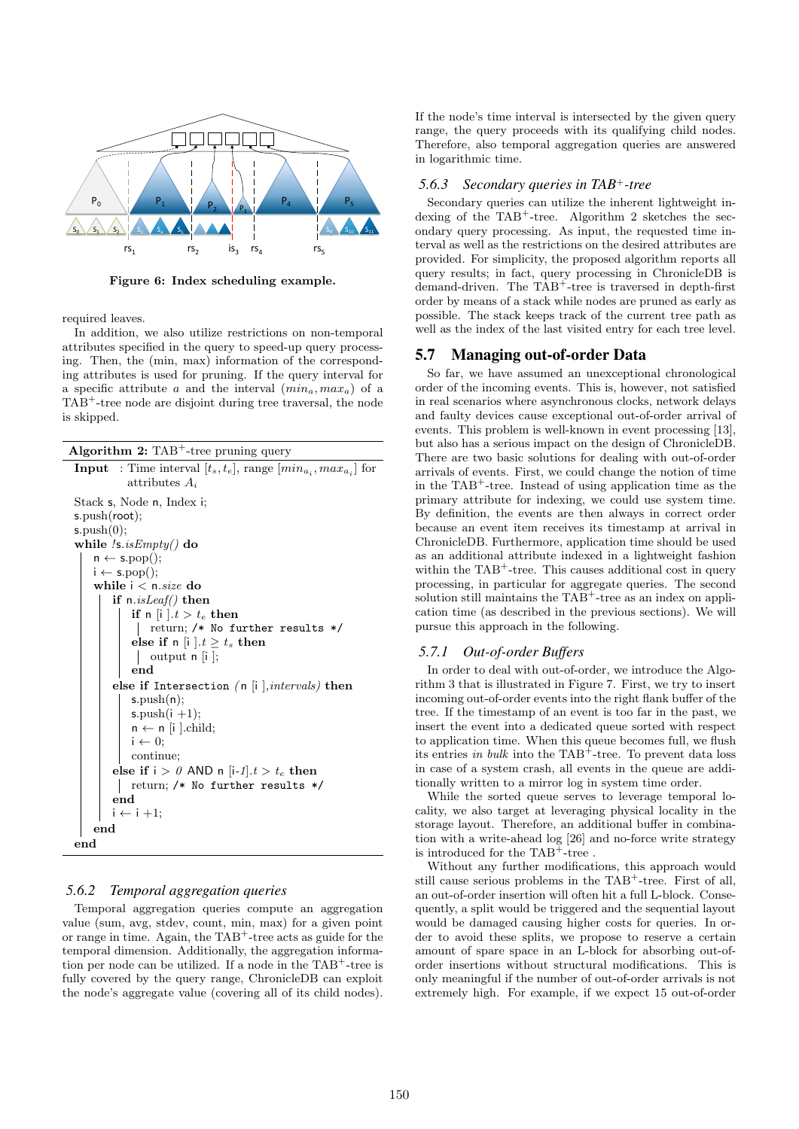

Figure 6: Index scheduling example.

required leaves.

In addition, we also utilize restrictions on non-temporal attributes specified in the query to speed-up query processing. Then, the (min, max) information of the corresponding attributes is used for pruning. If the query interval for a specific attribute a and the interval  $(min_a, max_a)$  of a TAB<sup>+</sup>-tree node are disjoint during tree traversal, the node is skipped.

| Algorithm $2$ : TAB <sup>+</sup> -tree pruning query |  |  |
|------------------------------------------------------|--|--|
|                                                      |  |  |

| <b>Input</b> : Time interval $[t_s, t_e]$ , range $(min_{a_i}, max_{a_i}]$ for<br>attributes $A_i$ |
|----------------------------------------------------------------------------------------------------|
| Stack s, Node n, Index i;                                                                          |
| s.push(root);                                                                                      |
| s.push(0);                                                                                         |
| while $\ell$ s. <i>isEmpty</i> () do                                                               |
| $n \leftarrow s.pop();$                                                                            |
| $i \leftarrow s.pop();$                                                                            |
| while $i < n.size$ do                                                                              |
| if $n.isLeaf()$ then                                                                               |
| if n  i $\cdot t > t_e$ then                                                                       |
| return; /* No further results */                                                                   |
| else if n  i $\cdot t \geq t_s$ then                                                               |
| output $n[i]$ ;                                                                                    |
| end                                                                                                |
| else if Intersection (n  i $ ,$ intervals) then                                                    |
| s.push(n);                                                                                         |
| s.push $(i + 1);$                                                                                  |
| $n \leftarrow n$ [i ].child;                                                                       |
| $i \leftarrow 0;$                                                                                  |
| continue;                                                                                          |
| else if $i > 0$ AND n [i-1] $t > t_e$ then                                                         |
| return; /* No further results */                                                                   |
| end                                                                                                |
| $i \leftarrow i + 1;$                                                                              |
| $_{\mathrm{end}}$                                                                                  |
| end                                                                                                |

#### *5.6.2 Temporal aggregation queries*

Temporal aggregation queries compute an aggregation value (sum, avg, stdev, count, min, max) for a given point or range in time. Again, the  $TAB^+$ -tree acts as guide for the temporal dimension. Additionally, the aggregation information per node can be utilized. If a node in the  $TAB^+$ -tree is fully covered by the query range, ChronicleDB can exploit the node's aggregate value (covering all of its child nodes). If the node's time interval is intersected by the given query range, the query proceeds with its qualifying child nodes. Therefore, also temporal aggregation queries are answered in logarithmic time.

# *5.6.3 Secondary queries in TAB*+*-tree*

Secondary queries can utilize the inherent lightweight indexing of the  $TAB^+$ -tree. Algorithm 2 sketches the secondary query processing. As input, the requested time interval as well as the restrictions on the desired attributes are provided. For simplicity, the proposed algorithm reports all query results; in fact, query processing in ChronicleDB is demand-driven. The TAB<sup>+</sup>-tree is traversed in depth-first order by means of a stack while nodes are pruned as early as possible. The stack keeps track of the current tree path as well as the index of the last visited entry for each tree level.

#### 5.7 Managing out-of-order Data

So far, we have assumed an unexceptional chronological order of the incoming events. This is, however, not satisfied in real scenarios where asynchronous clocks, network delays and faulty devices cause exceptional out-of-order arrival of events. This problem is well-known in event processing [13], but also has a serious impact on the design of ChronicleDB. There are two basic solutions for dealing with out-of-order arrivals of events. First, we could change the notion of time in the  $TAB^+$ -tree. Instead of using application time as the primary attribute for indexing, we could use system time. By definition, the events are then always in correct order because an event item receives its timestamp at arrival in ChronicleDB. Furthermore, application time should be used as an additional attribute indexed in a lightweight fashion within the  ${\rm TAB}^+{\text{-}}{\rm tree}.$  This causes additional cost in query processing, in particular for aggregate queries. The second solution still maintains the  $TAB^+$ -tree as an index on application time (as described in the previous sections). We will pursue this approach in the following.

#### *5.7.1 Out-of-order Buffers*

In order to deal with out-of-order, we introduce the Algorithm 3 that is illustrated in Figure 7. First, we try to insert incoming out-of-order events into the right flank buffer of the tree. If the timestamp of an event is too far in the past, we insert the event into a dedicated queue sorted with respect to application time. When this queue becomes full, we flush its entries in bulk into the  $TAB^+$ -tree. To prevent data loss in case of a system crash, all events in the queue are additionally written to a mirror log in system time order.

While the sorted queue serves to leverage temporal locality, we also target at leveraging physical locality in the storage layout. Therefore, an additional buffer in combination with a write-ahead log [26] and no-force write strategy is introduced for the TAB<sup>+</sup>-tree.

Without any further modifications, this approach would still cause serious problems in the  $TAB^+$ -tree. First of all, an out-of-order insertion will often hit a full L-block. Consequently, a split would be triggered and the sequential layout would be damaged causing higher costs for queries. In order to avoid these splits, we propose to reserve a certain amount of spare space in an L-block for absorbing out-oforder insertions without structural modifications. This is only meaningful if the number of out-of-order arrivals is not extremely high. For example, if we expect 15 out-of-order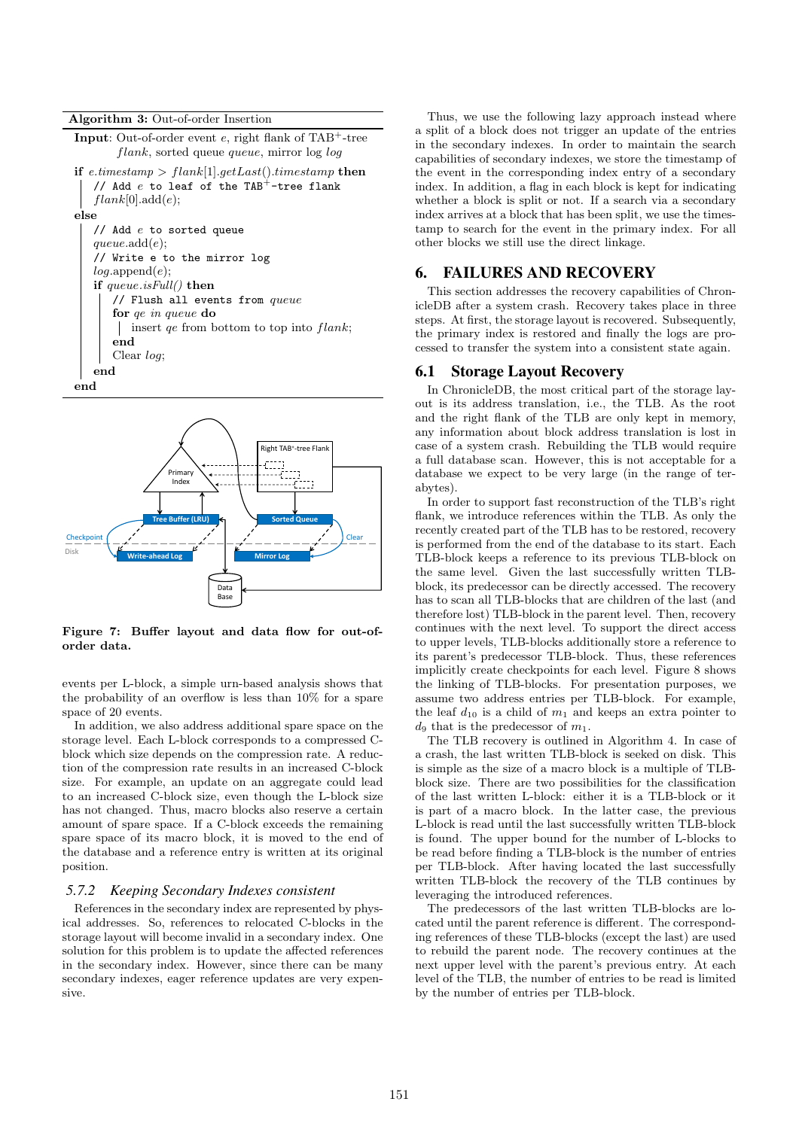



Figure 7: Buffer layout and data flow for out-oforder data.

events per L-block, a simple urn-based analysis shows that the probability of an overflow is less than 10% for a spare space of 20 events.

In addition, we also address additional spare space on the storage level. Each L-block corresponds to a compressed Cblock which size depends on the compression rate. A reduction of the compression rate results in an increased C-block size. For example, an update on an aggregate could lead to an increased C-block size, even though the L-block size has not changed. Thus, macro blocks also reserve a certain amount of spare space. If a C-block exceeds the remaining spare space of its macro block, it is moved to the end of the database and a reference entry is written at its original position.

#### *5.7.2 Keeping Secondary Indexes consistent*

References in the secondary index are represented by physical addresses. So, references to relocated C-blocks in the storage layout will become invalid in a secondary index. One solution for this problem is to update the affected references in the secondary index. However, since there can be many secondary indexes, eager reference updates are very expensive.

Thus, we use the following lazy approach instead where a split of a block does not trigger an update of the entries in the secondary indexes. In order to maintain the search capabilities of secondary indexes, we store the timestamp of the event in the corresponding index entry of a secondary index. In addition, a flag in each block is kept for indicating whether a block is split or not. If a search via a secondary index arrives at a block that has been split, we use the timestamp to search for the event in the primary index. For all other blocks we still use the direct linkage.

### 6. FAILURES AND RECOVERY

This section addresses the recovery capabilities of ChronicleDB after a system crash. Recovery takes place in three steps. At first, the storage layout is recovered. Subsequently, the primary index is restored and finally the logs are processed to transfer the system into a consistent state again.

#### 6.1 Storage Layout Recovery

In ChronicleDB, the most critical part of the storage layout is its address translation, i.e., the TLB. As the root and the right flank of the TLB are only kept in memory, any information about block address translation is lost in case of a system crash. Rebuilding the TLB would require a full database scan. However, this is not acceptable for a database we expect to be very large (in the range of terabytes).

In order to support fast reconstruction of the TLB's right flank, we introduce references within the TLB. As only the recently created part of the TLB has to be restored, recovery is performed from the end of the database to its start. Each TLB-block keeps a reference to its previous TLB-block on the same level. Given the last successfully written TLBblock, its predecessor can be directly accessed. The recovery has to scan all TLB-blocks that are children of the last (and therefore lost) TLB-block in the parent level. Then, recovery continues with the next level. To support the direct access to upper levels, TLB-blocks additionally store a reference to its parent's predecessor TLB-block. Thus, these references implicitly create checkpoints for each level. Figure 8 shows the linking of TLB-blocks. For presentation purposes, we assume two address entries per TLB-block. For example, the leaf  $d_{10}$  is a child of  $m_1$  and keeps an extra pointer to  $d_9$  that is the predecessor of  $m_1$ .

The TLB recovery is outlined in Algorithm 4. In case of a crash, the last written TLB-block is seeked on disk. This is simple as the size of a macro block is a multiple of TLBblock size. There are two possibilities for the classification of the last written L-block: either it is a TLB-block or it is part of a macro block. In the latter case, the previous L-block is read until the last successfully written TLB-block is found. The upper bound for the number of L-blocks to be read before finding a TLB-block is the number of entries per TLB-block. After having located the last successfully written TLB-block the recovery of the TLB continues by leveraging the introduced references.

The predecessors of the last written TLB-blocks are located until the parent reference is different. The corresponding references of these TLB-blocks (except the last) are used to rebuild the parent node. The recovery continues at the next upper level with the parent's previous entry. At each level of the TLB, the number of entries to be read is limited by the number of entries per TLB-block.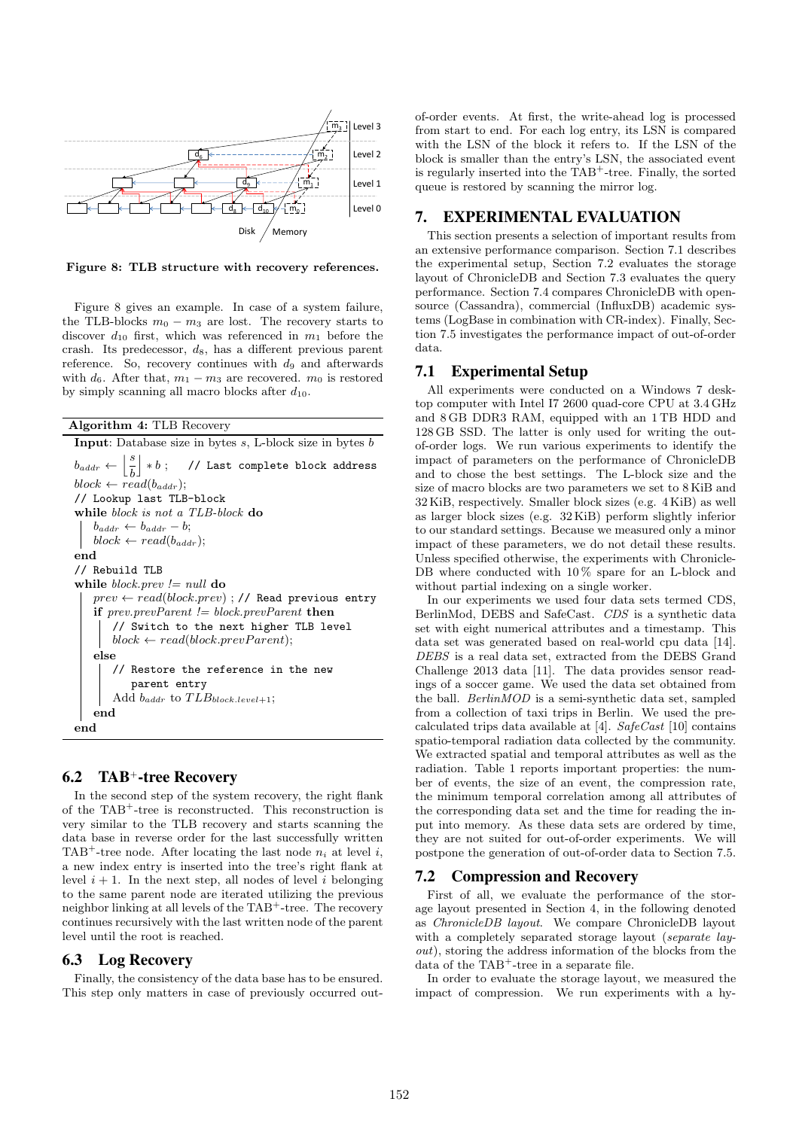

Figure 8: TLB structure with recovery references.

Figure 8 gives an example. In case of a system failure, the TLB-blocks  $m_0 - m_3$  are lost. The recovery starts to discover  $d_{10}$  first, which was referenced in  $m_1$  before the crash. Its predecessor,  $d_8$ , has a different previous parent reference. So, recovery continues with  $d_9$  and afterwards with  $d_6$ . After that,  $m_1 - m_3$  are recovered.  $m_0$  is restored by simply scanning all macro blocks after  $d_{10}$ .

```
Algorithm 4: TLB Recovery
```

```
Input: Database size in bytes s, L-block size in bytes bb_{addr} \leftarrow \left| \frac{s}{i} \right|b
             \big| *b \; ; \quad \text{ // Last complete block address}block \leftarrow read(b_{addr});// Lookup last TLB-block
while block is not a TLB-block do
    b_{addr} \leftarrow b_{addr} - b;block \leftarrow read(b_{addr})end
// Rebuild TLB
while block.\npreceq = null do
   prev \leftarrow read(block.prev) ; // Read previous entry
    if prev.prevParent != block.prevParent then
        // Switch to the next higher TLB level
        block \leftarrow read(block.prevParent);else
        // Restore the reference in the new
            parent entry
        Add b_{addr} to TLB_{block-level+1};end
end
```
### 6.2 TAB+-tree Recovery

In the second step of the system recovery, the right flank of the TAB<sup>+</sup>-tree is reconstructed. This reconstruction is very similar to the TLB recovery and starts scanning the data base in reverse order for the last successfully written TAB<sup>+</sup>-tree node. After locating the last node  $n_i$  at level i, a new index entry is inserted into the tree's right flank at level  $i + 1$ . In the next step, all nodes of level i belonging to the same parent node are iterated utilizing the previous neighbor linking at all levels of the TAB<sup>+</sup>-tree. The recovery continues recursively with the last written node of the parent level until the root is reached.

## 6.3 Log Recovery

Finally, the consistency of the data base has to be ensured. This step only matters in case of previously occurred outof-order events. At first, the write-ahead log is processed from start to end. For each log entry, its LSN is compared with the LSN of the block it refers to. If the LSN of the block is smaller than the entry's LSN, the associated event is regularly inserted into the TAB<sup>+</sup>-tree. Finally, the sorted queue is restored by scanning the mirror log.

## 7. EXPERIMENTAL EVALUATION

This section presents a selection of important results from an extensive performance comparison. Section 7.1 describes the experimental setup, Section 7.2 evaluates the storage layout of ChronicleDB and Section 7.3 evaluates the query performance. Section 7.4 compares ChronicleDB with opensource (Cassandra), commercial (InfluxDB) academic systems (LogBase in combination with CR-index). Finally, Section 7.5 investigates the performance impact of out-of-order data.

### 7.1 Experimental Setup

All experiments were conducted on a Windows 7 desktop computer with Intel I7 2600 quad-core CPU at 3.4 GHz and 8 GB DDR3 RAM, equipped with an 1 TB HDD and 128 GB SSD. The latter is only used for writing the outof-order logs. We run various experiments to identify the impact of parameters on the performance of ChronicleDB and to chose the best settings. The L-block size and the size of macro blocks are two parameters we set to 8 KiB and 32 KiB, respectively. Smaller block sizes (e.g. 4 KiB) as well as larger block sizes (e.g. 32 KiB) perform slightly inferior to our standard settings. Because we measured only a minor impact of these parameters, we do not detail these results. Unless specified otherwise, the experiments with Chronicle-DB where conducted with  $10\%$  spare for an L-block and without partial indexing on a single worker.

In our experiments we used four data sets termed CDS, BerlinMod, DEBS and SafeCast. CDS is a synthetic data set with eight numerical attributes and a timestamp. This data set was generated based on real-world cpu data [14]. DEBS is a real data set, extracted from the DEBS Grand Challenge 2013 data [11]. The data provides sensor readings of a soccer game. We used the data set obtained from the ball. BerlinMOD is a semi-synthetic data set, sampled from a collection of taxi trips in Berlin. We used the precalculated trips data available at [4].  $SafeCast$  [10] contains spatio-temporal radiation data collected by the community. We extracted spatial and temporal attributes as well as the radiation. Table 1 reports important properties: the number of events, the size of an event, the compression rate, the minimum temporal correlation among all attributes of the corresponding data set and the time for reading the input into memory. As these data sets are ordered by time, they are not suited for out-of-order experiments. We will postpone the generation of out-of-order data to Section 7.5.

#### 7.2 Compression and Recovery

First of all, we evaluate the performance of the storage layout presented in Section 4, in the following denoted as ChronicleDB layout. We compare ChronicleDB layout with a completely separated storage layout (separate layout), storing the address information of the blocks from the data of the TAB<sup>+</sup>-tree in a separate file.

In order to evaluate the storage layout, we measured the impact of compression. We run experiments with a hy-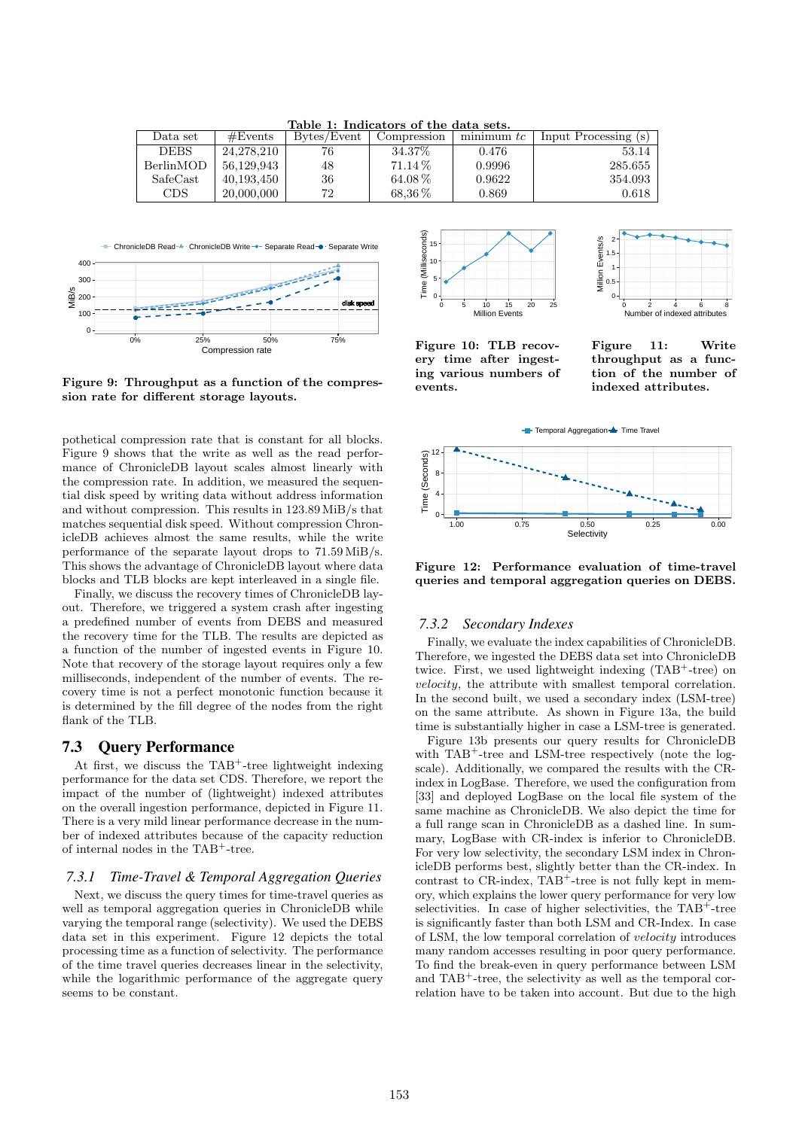| Table 1: Indicators of the data sets. |            |             |             |              |                      |
|---------------------------------------|------------|-------------|-------------|--------------|----------------------|
| Data set                              | #Events    | Bytes/Event | Compression | $minimum$ tc | Input Processing (s) |
| <b>DEBS</b>                           | 24.278.210 | 76          | 34.37\%     | 0.476        | 53.14                |
| BerlinMOD                             | 56.129.943 | 48          | $71.14\%$   | 0.9996       | 285.655              |
| SafeCast                              | 40,193,450 | 36          | $64.08\%$   | 0.9622       | 354.093              |
| CDS.                                  | 20,000,000 | 72          | $68.36\,\%$ | 0.869        | 0.618                |

Table 1: Indicators of the data sets.



Figure 9: Throughput as a function of the compression rate for different storage layouts.

pothetical compression rate that is constant for all blocks. Figure 9 shows that the write as well as the read performance of ChronicleDB layout scales almost linearly with the compression rate. In addition, we measured the sequential disk speed by writing data without address information and without compression. This results in 123.89 MiB/s that matches sequential disk speed. Without compression ChronicleDB achieves almost the same results, while the write performance of the separate layout drops to 71.59 MiB/s. This shows the advantage of ChronicleDB layout where data blocks and TLB blocks are kept interleaved in a single file.

Finally, we discuss the recovery times of ChronicleDB layout. Therefore, we triggered a system crash after ingesting a predefined number of events from DEBS and measured the recovery time for the TLB. The results are depicted as a function of the number of ingested events in Figure 10. Note that recovery of the storage layout requires only a few milliseconds, independent of the number of events. The recovery time is not a perfect monotonic function because it is determined by the fill degree of the nodes from the right flank of the TLB.

## 7.3 Query Performance

At first, we discuss the  $TAB^+$ -tree lightweight indexing performance for the data set CDS. Therefore, we report the impact of the number of (lightweight) indexed attributes on the overall ingestion performance, depicted in Figure 11. There is a very mild linear performance decrease in the number of indexed attributes because of the capacity reduction of internal nodes in the TAB<sup>+</sup>-tree.

#### *7.3.1 Time-Travel & Temporal Aggregation Queries*

Next, we discuss the query times for time-travel queries as well as temporal aggregation queries in ChronicleDB while varying the temporal range (selectivity). We used the DEBS data set in this experiment. Figure 12 depicts the total processing time as a function of selectivity. The performance of the time travel queries decreases linear in the selectivity, while the logarithmic performance of the aggregate query seems to be constant.





Figure 10: TLB recovery time after ingesting various numbers of events.

Figure 11: Write throughput as a function of the number of indexed attributes.



Figure 12: Performance evaluation of time-travel queries and temporal aggregation queries on DEBS.

#### *7.3.2 Secondary Indexes*

Finally, we evaluate the index capabilities of ChronicleDB. Therefore, we ingested the DEBS data set into ChronicleDB twice. First, we used lightweight indexing (TAB<sup>+</sup>-tree) on velocity, the attribute with smallest temporal correlation. In the second built, we used a secondary index (LSM-tree) on the same attribute. As shown in Figure 13a, the build time is substantially higher in case a LSM-tree is generated.

Figure 13b presents our query results for ChronicleDB with TAB<sup>+</sup>-tree and LSM-tree respectively (note the logscale). Additionally, we compared the results with the CRindex in LogBase. Therefore, we used the configuration from [33] and deployed LogBase on the local file system of the same machine as ChronicleDB. We also depict the time for a full range scan in ChronicleDB as a dashed line. In summary, LogBase with CR-index is inferior to ChronicleDB. For very low selectivity, the secondary LSM index in ChronicleDB performs best, slightly better than the CR-index. In contrast to  $CR$ -index,  $TAB^+$ -tree is not fully kept in memory, which explains the lower query performance for very low selectivities. In case of higher selectivities, the TAB<sup>+</sup>-tree is significantly faster than both LSM and CR-Index. In case of LSM, the low temporal correlation of velocity introduces many random accesses resulting in poor query performance. To find the break-even in query performance between LSM and  $TAB^+$ -tree, the selectivity as well as the temporal correlation have to be taken into account. But due to the high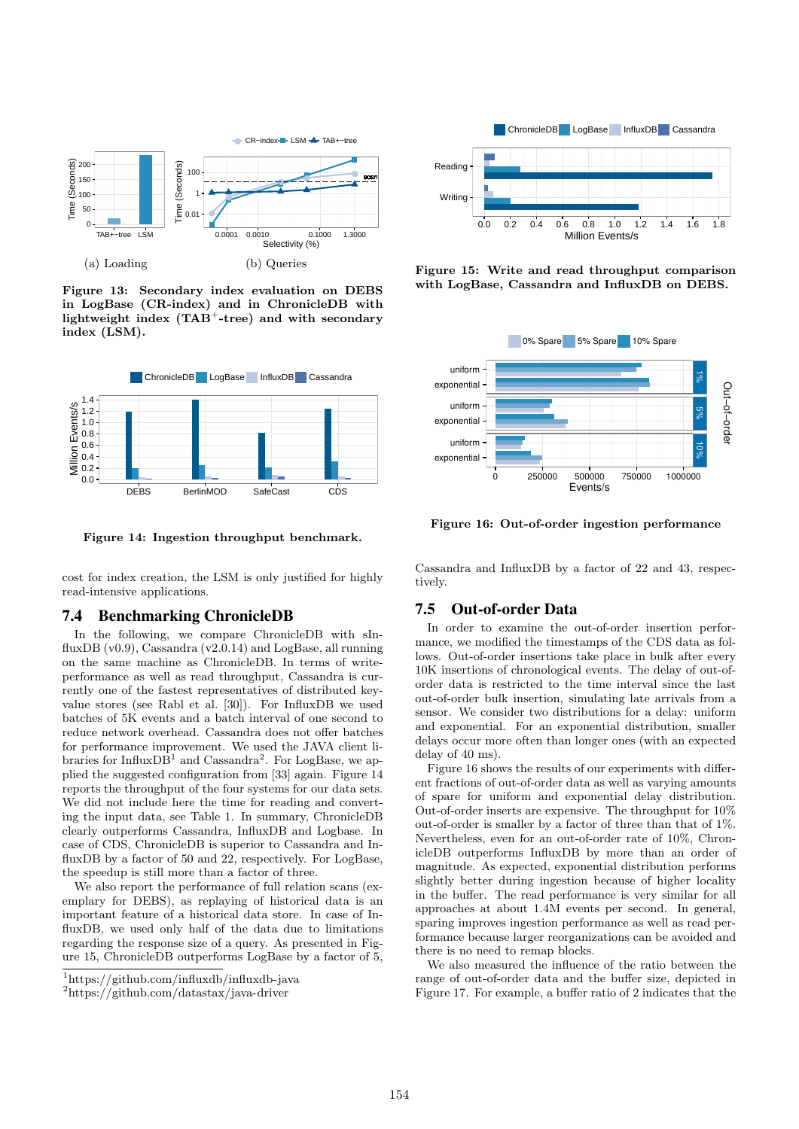

Figure 13: Secondary index evaluation on DEBS in LogBase (CR-index) and in ChronicleDB with lightweight index  $(TAB^+$ -tree) and with secondary index (LSM).



Figure 14: Ingestion throughput benchmark.

cost for index creation, the LSM is only justified for highly read-intensive applications.

#### 7.4 Benchmarking ChronicleDB

In the following, we compare ChronicleDB with sInfluxDB  $(v0.9)$ , Cassandra  $(v2.0.14)$  and LogBase, all running on the same machine as ChronicleDB. In terms of writeperformance as well as read throughput, Cassandra is currently one of the fastest representatives of distributed keyvalue stores (see Rabl et al. [30]). For InfluxDB we used batches of 5K events and a batch interval of one second to reduce network overhead. Cassandra does not offer batches for performance improvement. We used the JAVA client libraries for Influx $DB<sup>1</sup>$  and Cassandra<sup>2</sup>. For LogBase, we applied the suggested configuration from [33] again. Figure 14 reports the throughput of the four systems for our data sets. We did not include here the time for reading and converting the input data, see Table 1. In summary, ChronicleDB clearly outperforms Cassandra, InfluxDB and Logbase. In case of CDS, ChronicleDB is superior to Cassandra and InfluxDB by a factor of 50 and 22, respectively. For LogBase, the speedup is still more than a factor of three.

We also report the performance of full relation scans (exemplary for DEBS), as replaying of historical data is an important feature of a historical data store. In case of InfluxDB, we used only half of the data due to limitations regarding the response size of a query. As presented in Figure 15, ChronicleDB outperforms LogBase by a factor of 5,



<sup>2</sup>https://github.com/datastax/java-driver



Figure 15: Write and read throughput comparison with LogBase, Cassandra and InfluxDB on DEBS.



Figure 16: Out-of-order ingestion performance

Cassandra and InfluxDB by a factor of 22 and 43, respectively.

#### 7.5 Out-of-order Data

In order to examine the out-of-order insertion performance, we modified the timestamps of the CDS data as follows. Out-of-order insertions take place in bulk after every 10K insertions of chronological events. The delay of out-oforder data is restricted to the time interval since the last out-of-order bulk insertion, simulating late arrivals from a sensor. We consider two distributions for a delay: uniform and exponential. For an exponential distribution, smaller delays occur more often than longer ones (with an expected delay of 40 ms).

Figure 16 shows the results of our experiments with different fractions of out-of-order data as well as varying amounts of spare for uniform and exponential delay distribution. Out-of-order inserts are expensive. The throughput for 10% out-of-order is smaller by a factor of three than that of 1%. Nevertheless, even for an out-of-order rate of 10%, ChronicleDB outperforms InfluxDB by more than an order of magnitude. As expected, exponential distribution performs slightly better during ingestion because of higher locality in the buffer. The read performance is very similar for all approaches at about 1.4M events per second. In general, sparing improves ingestion performance as well as read performance because larger reorganizations can be avoided and there is no need to remap blocks.

We also measured the influence of the ratio between the range of out-of-order data and the buffer size, depicted in Figure 17. For example, a buffer ratio of 2 indicates that the